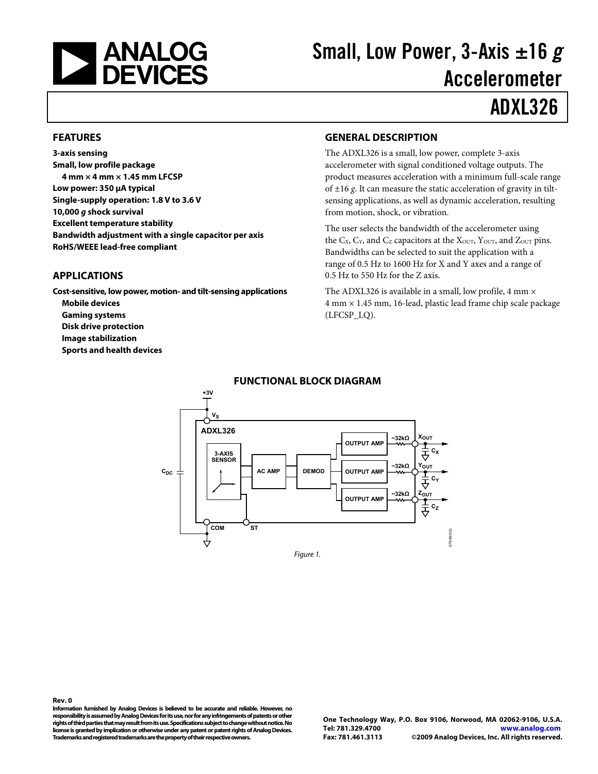<span id="page-0-0"></span>

# Small, Low Power, 3-Axis  $\pm 16 g$ Accelerometer

# ADXL326

#### **FEATURES**

**3-axis sensing Small, low profile package 4 mm × 4 mm × 1.45 mm LFCSP Low power: 350 μA typical Single-supply operation: 1.8 V to 3.6 V 10,000 g shock survival Excellent temperature stability Bandwidth adjustment with a single capacitor per axis RoHS/WEEE lead-free compliant** 

#### **APPLICATIONS**

**Cost-sensitive, low power, motion- and tilt-sensing applications Mobile devices Gaming systems Disk drive protection Image stabilization Sports and health devices** 

#### **GENERAL DESCRIPTION**

The ADXL326 is a small, low power, complete 3-axis accelerometer with signal conditioned voltage outputs. The product measures acceleration with a minimum full-scale range of ±16 *g*. It can measure the static acceleration of gravity in tiltsensing applications, as well as dynamic acceleration, resulting from motion, shock, or vibration.

The user selects the bandwidth of the accelerometer using the  $C_X$ ,  $C_Y$ , and  $C_Z$  capacitors at the  $X_{\text{OUT}}$ ,  $Y_{\text{OUT}}$ , and  $Z_{\text{OUT}}$  pins. Bandwidths can be selected to suit the application with a range of 0.5 Hz to 1600 Hz for X and Y axes and a range of 0.5 Hz to 550 Hz for the Z axis.

The ADXL326 is available in a small, low profile, 4 mm  $\times$ 4 mm × 1.45 mm, 16-lead, plastic lead frame chip scale package (LFCSP\_LQ).



#### **FUNCTIONAL BLOCK DIAGRAM**

**Rev. 0 Information furnished by Analog Devices is believed to be accurate and reliable. However, no responsibility is assumed by Analog Devices for its use, nor for any infringements of patents or other rights of third parties that may result from its use. Specifications subject to change without notice. No license is granted by implication or otherwise under any patent or patent rights of Analog Devices. Trademarks and registered trademarks are the property of their respective owners.**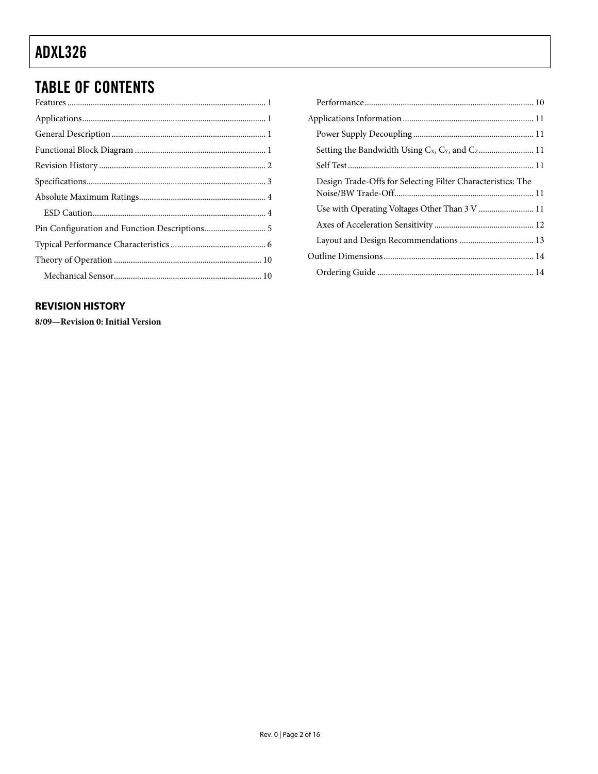# <span id="page-1-0"></span>**TABLE OF CONTENTS**

#### **REVISION HISTORY**

8/09-Revision 0: Initial Version

| Design Trade-Offs for Selecting Filter Characteristics: The |  |
|-------------------------------------------------------------|--|
|                                                             |  |
|                                                             |  |
|                                                             |  |
|                                                             |  |
|                                                             |  |
|                                                             |  |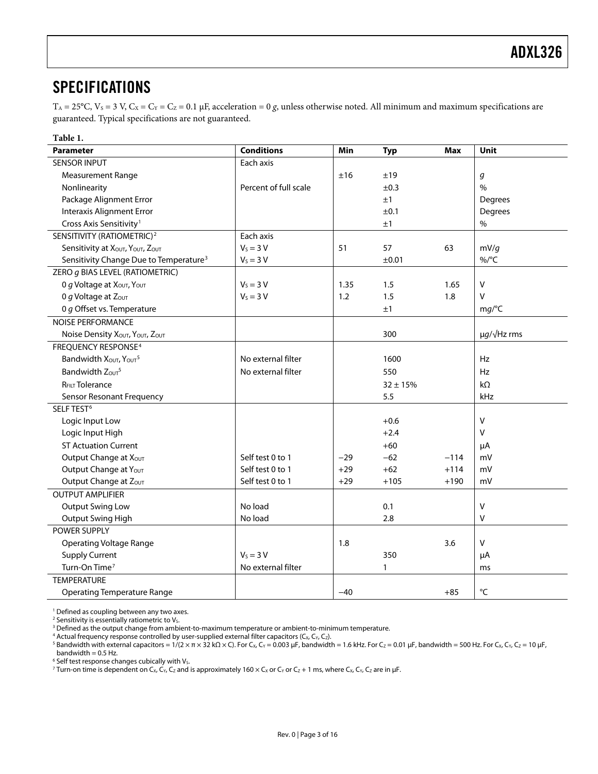### <span id="page-2-0"></span>SPECIFICATIONS

 $T_A = 25^{\circ}$ C,  $V_s = 3$  V,  $C_x = C_y = C_z = 0.1$  µF, acceleration = 0 *g*, unless otherwise noted. All minimum and maximum specifications are guaranteed. Typical specifications are not guaranteed.

<span id="page-2-1"></span>

| Table 1.                                                   |                       |       |              |        |                       |
|------------------------------------------------------------|-----------------------|-------|--------------|--------|-----------------------|
| <b>Parameter</b>                                           | <b>Conditions</b>     | Min   | <b>Typ</b>   | Max    | <b>Unit</b>           |
| <b>SENSOR INPUT</b>                                        | Each axis             |       |              |        |                       |
| Measurement Range                                          |                       | ±16   | ±19          |        | g                     |
| Nonlinearity                                               | Percent of full scale |       | ±0.3         |        | $\%$                  |
| Package Alignment Error                                    |                       |       | ±1           |        | Degrees               |
| <b>Interaxis Alignment Error</b>                           |                       |       | ±0.1         |        | Degrees               |
| Cross Axis Sensitivity <sup>1</sup>                        |                       |       | ±1           |        | $\%$                  |
| SENSITIVITY (RATIOMETRIC) <sup>2</sup>                     | Each axis             |       |              |        |                       |
| Sensitivity at XOUT, YOUT, ZOUT                            | $V_s = 3 V$           | 51    | 57           | 63     | mV/q                  |
| Sensitivity Change Due to Temperature <sup>3</sup>         | $V_s = 3 V$           |       | ±0.01        |        | %/°C                  |
| ZERO g BIAS LEVEL (RATIOMETRIC)                            |                       |       |              |        |                       |
| 0 g Voltage at X <sub>OUT</sub> , Y <sub>OUT</sub>         | $V_s = 3 V$           | 1.35  | 1.5          | 1.65   | V                     |
| 0 g Voltage at Zout                                        | $V_s = 3 V$           | 1.2   | 1.5          | 1.8    | V                     |
| 0 g Offset vs. Temperature                                 |                       |       | ±1           |        | mg/°C                 |
| <b>NOISE PERFORMANCE</b>                                   |                       |       |              |        |                       |
| Noise Density XOUT, YOUT, ZOUT                             |                       |       | 300          |        | $\mu g/\sqrt{Hz}$ rms |
| <b>FREQUENCY RESPONSE4</b>                                 |                       |       |              |        |                       |
| Bandwidth X <sub>OUT</sub> , Y <sub>OUT</sub> <sup>5</sup> | No external filter    |       | 1600         |        | Hz                    |
| Bandwidth Zour <sup>5</sup>                                | No external filter    |       | 550          |        | Hz                    |
| R <sub>FILT</sub> Tolerance                                |                       |       | $32 \pm 15%$ |        | $k\Omega$             |
| Sensor Resonant Frequency                                  |                       |       | 5.5          |        | kHz                   |
| SELF TEST <sup>6</sup>                                     |                       |       |              |        |                       |
| Logic Input Low                                            |                       |       | $+0.6$       |        | $\vee$                |
| Logic Input High                                           |                       |       | $+2.4$       |        | V                     |
| <b>ST Actuation Current</b>                                |                       |       | $+60$        |        | μA                    |
| Output Change at Xout                                      | Self test 0 to 1      | $-29$ | $-62$        | $-114$ | mV                    |
| Output Change at Yout                                      | Self test 0 to 1      | $+29$ | $+62$        | $+114$ | mV                    |
| Output Change at Zout                                      | Self test 0 to 1      | $+29$ | $+105$       | $+190$ | mV                    |
| <b>OUTPUT AMPLIFIER</b>                                    |                       |       |              |        |                       |
| <b>Output Swing Low</b>                                    | No load               |       | 0.1          |        | V                     |
| Output Swing High                                          | No load               |       | 2.8          |        | ٧                     |
| POWER SUPPLY                                               |                       |       |              |        |                       |
| <b>Operating Voltage Range</b>                             |                       | 1.8   |              | 3.6    | v                     |
| <b>Supply Current</b>                                      | $V_s = 3 V$           |       | 350          |        | μA                    |
| Turn-On Time <sup>7</sup>                                  | No external filter    |       | 1            |        | ms                    |
| <b>TEMPERATURE</b>                                         |                       |       |              |        |                       |
| <b>Operating Temperature Range</b>                         |                       | $-40$ |              | $+85$  | °C                    |

1 Defined as coupling between any two axes.

<sup>2</sup> Sensitivity is essentially ratiometric to V<sub>s</sub>.

 $^5$  Bandwidth with external capacitors = 1/(2 × π × 32 kΩ × C). For C<sub>x</sub>, C<sub>Y</sub> = 0.003 μF, bandwidth = 1.6 kHz. For C<sub>Z</sub> = 0.01 μF, bandwidth = 500 Hz. For C<sub>X</sub>, C<sub>Y</sub>, C<sub>Z</sub> = 10 μF, bandwidth  $= 0.5$  Hz.

 $^6$  Self test response changes cubically with V<sub>s</sub>.<br><sup>7</sup> Turn-on time is dependent on Cy, Cy, Ca and i

<sup>7</sup> Turn-on time is dependent on C<sub>X</sub>, C<sub>Y</sub>, C<sub>Z</sub> and is approximately 160 × C<sub>x</sub> or C<sub>Y</sub> or C<sub>Z</sub> + 1 ms, where C<sub>X</sub>, C<sub>Y</sub>, C<sub>Z</sub> are in µF.

<sup>&</sup>lt;sup>2</sup> Sensitivity is essentially ratiometric to V<sub>s</sub>.<br><sup>3</sup> Defined as the output change from ambient-to-maximum temperature or ambient-to-minimum temperature.

<sup>&</sup>lt;sup>4</sup> Actual frequency response controlled by user-supplied external filter capacitors (C<sub>X,</sub> C<sub>Y,</sub> C<sub>Z</sub>).<br><sup>5</sup> Bandwidth with external capacitors = 1/(2 × π × 32 kO × C). For C<sub>Y,</sub> Cy = 0.003 uE, bandwidth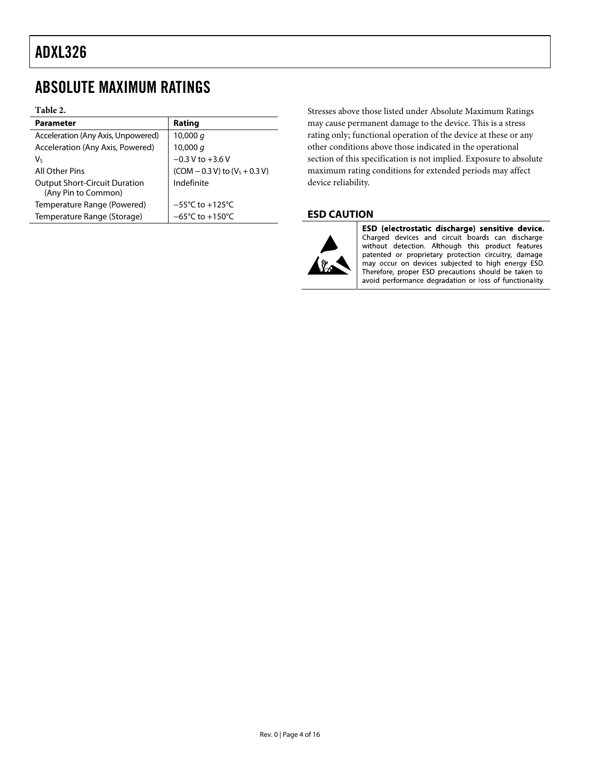### <span id="page-3-0"></span>ABSOLUTE MAXIMUM RATINGS

#### **Table 2.**

| <b>Parameter</b>                     | Rating                               |
|--------------------------------------|--------------------------------------|
| Acceleration (Any Axis, Unpowered)   | 10,000 $q$                           |
| Acceleration (Any Axis, Powered)     | 10,000 q                             |
| Vs                                   | $-0.3 V$ to $+3.6 V$                 |
| All Other Pins                       | $(COM - 0.3 V)$ to $(VS + 0.3 V)$    |
| <b>Output Short-Circuit Duration</b> | Indefinite                           |
| (Any Pin to Common)                  |                                      |
| Temperature Range (Powered)          | $-55^{\circ}$ C to $+125^{\circ}$ C  |
| Temperature Range (Storage)          | $-65^{\circ}$ C to +150 $^{\circ}$ C |

Stresses above those listed under Absolute Maximum Ratings may cause permanent damage to the device. This is a stress rating only; functional operation of the device at these or any other conditions above those indicated in the operational section of this specification is not implied. Exposure to absolute maximum rating conditions for extended periods may affect device reliability.

#### **ESD CAUTION**



ESD (electrostatic discharge) sensitive device. Charged devices and circuit boards can discharge without detection. Although this product features patented or proprietary protection circuitry, damage may occur on devices subjected to high energy ESD. Therefore, proper ESD precautions should be taken to avoid performance degradation or loss of functionality.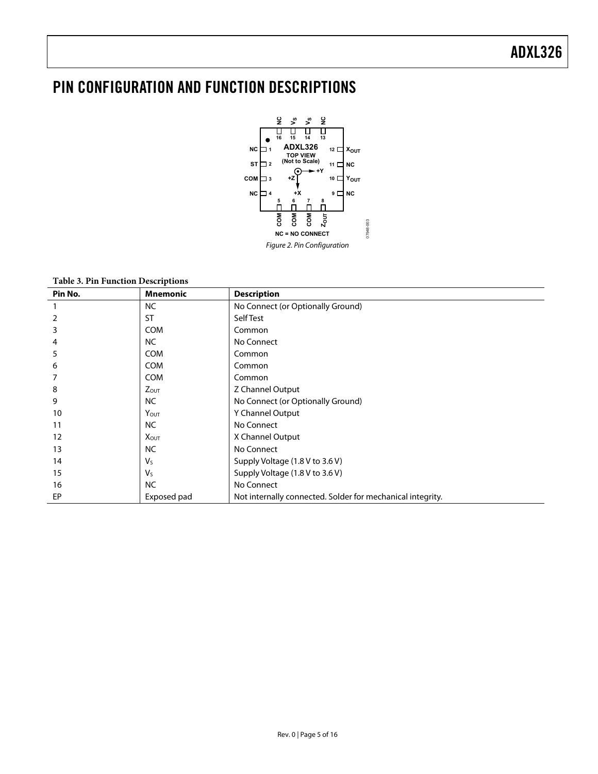### <span id="page-4-0"></span>PIN CONFIGURATION AND FUNCTION DESCRIPTIONS



| Pin No. | <b>Mnemonic</b>         | <b>Description</b>                                         |
|---------|-------------------------|------------------------------------------------------------|
|         | <b>NC</b>               | No Connect (or Optionally Ground)                          |
| 2       | <b>ST</b>               | Self Test                                                  |
| 3       | <b>COM</b>              | Common                                                     |
| 4       | <b>NC</b>               | No Connect                                                 |
| 5       | <b>COM</b>              | Common                                                     |
| 6       | <b>COM</b>              | Common                                                     |
|         | <b>COM</b>              | Common                                                     |
| 8       | <b>Zout</b>             | Z Channel Output                                           |
| 9       | <b>NC</b>               | No Connect (or Optionally Ground)                          |
| 10      | YOUT                    | Y Channel Output                                           |
| 11      | <b>NC</b>               | No Connect                                                 |
| 12      | <b>X</b> <sub>OUT</sub> | X Channel Output                                           |
| 13      | <b>NC</b>               | No Connect                                                 |
| 14      | $V_{S}$                 | Supply Voltage (1.8 V to 3.6 V)                            |
| 15      | $V_{S}$                 | Supply Voltage (1.8 V to 3.6 V)                            |
| 16      | <b>NC</b>               | No Connect                                                 |
| EP      | Exposed pad             | Not internally connected. Solder for mechanical integrity. |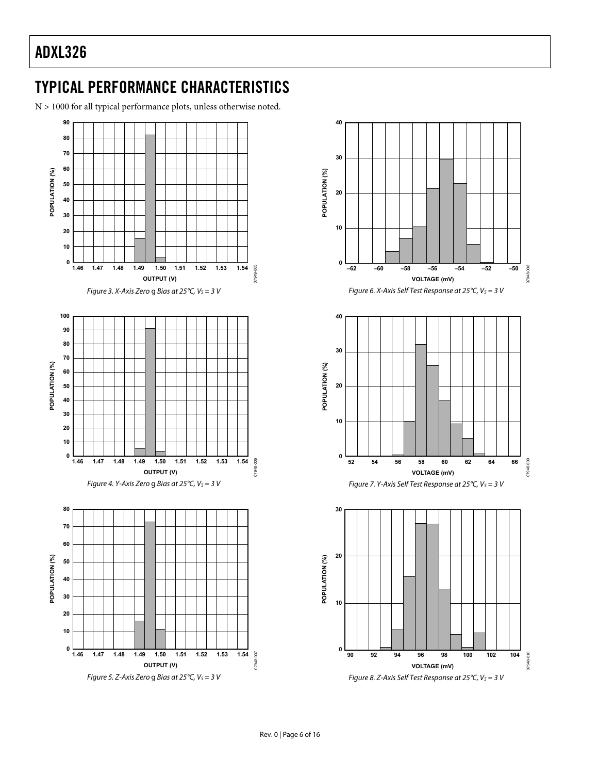### <span id="page-5-0"></span>TYPICAL PERFORMANCE CHARACTERISTICS

N > 1000 for all typical performance plots, unless otherwise noted.



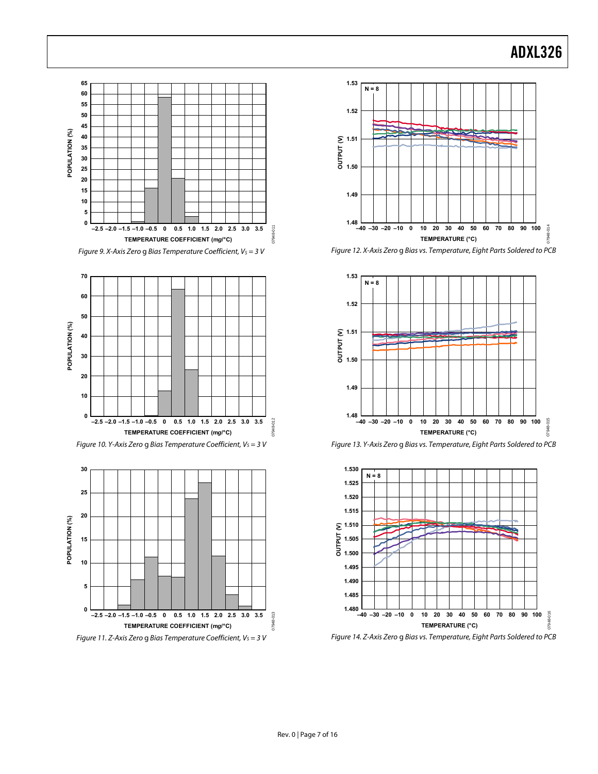

Figure 12. X-Axis Zero g Bias vs. Temperature, Eight Parts Soldered to PCB













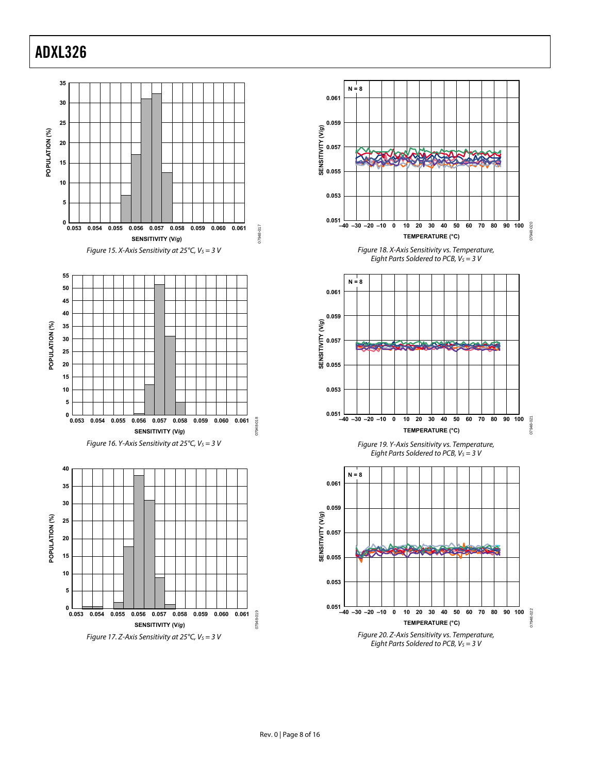

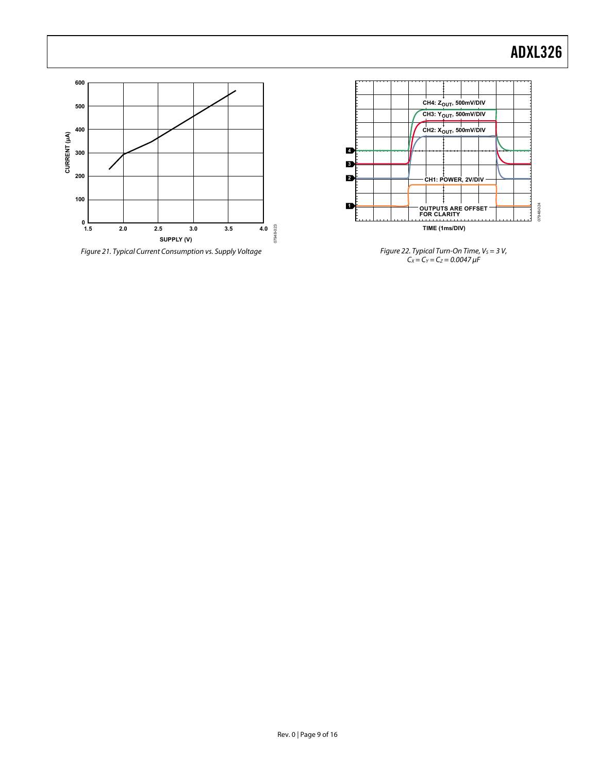



Figure 22. Typical Turn-On Time,  $V_S = 3 V$ ,  $C_X = C_Y = C_Z = 0.0047 \,\mu\text{F}$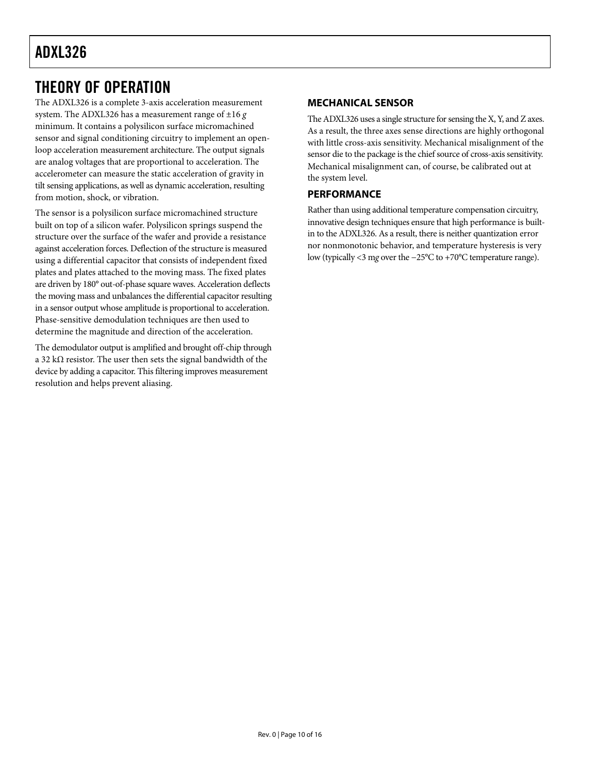### <span id="page-9-0"></span>THEORY OF OPERATION

The ADXL326 is a complete 3-axis acceleration measurement system. The ADXL326 has a measurement range of ±16 *g* minimum. It contains a polysilicon surface micromachined sensor and signal conditioning circuitry to implement an openloop acceleration measurement architecture. The output signals are analog voltages that are proportional to acceleration. The accelerometer can measure the static acceleration of gravity in tilt sensing applications, as well as dynamic acceleration, resulting from motion, shock, or vibration.

The sensor is a polysilicon surface micromachined structure built on top of a silicon wafer. Polysilicon springs suspend the structure over the surface of the wafer and provide a resistance against acceleration forces. Deflection of the structure is measured using a differential capacitor that consists of independent fixed plates and plates attached to the moving mass. The fixed plates are driven by 180° out-of-phase square waves. Acceleration deflects the moving mass and unbalances the differential capacitor resulting in a sensor output whose amplitude is proportional to acceleration. Phase-sensitive demodulation techniques are then used to determine the magnitude and direction of the acceleration.

The demodulator output is amplified and brought off-chip through a 32 kΩ resistor. The user then sets the signal bandwidth of the device by adding a capacitor. This filtering improves measurement resolution and helps prevent aliasing.

#### **MECHANICAL SENSOR**

The ADXL326 uses a single structure for sensing the X, Y, and Z axes. As a result, the three axes sense directions are highly orthogonal with little cross-axis sensitivity. Mechanical misalignment of the sensor die to the package is the chief source of cross-axis sensitivity. Mechanical misalignment can, of course, be calibrated out at the system level.

#### **PERFORMANCE**

Rather than using additional temperature compensation circuitry, innovative design techniques ensure that high performance is builtin to the ADXL326. As a result, there is neither quantization error nor nonmonotonic behavior, and temperature hysteresis is very low (typically <3 m*g* over the −25°C to +70°C temperature range).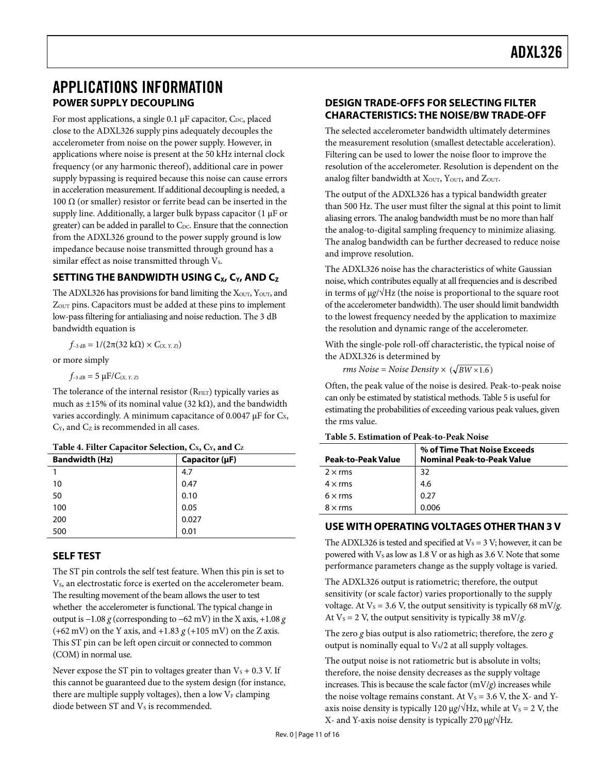### <span id="page-10-0"></span>APPLICATIONS INFORMATION **POWER SUPPLY DECOUPLING**

For most applications, a single 0.1  $\mu$ F capacitor, C<sub>DC</sub>, placed close to the ADXL326 supply pins adequately decouples the accelerometer from noise on the power supply. However, in applications where noise is present at the 50 kHz internal clock frequency (or any harmonic thereof), additional care in power supply bypassing is required because this noise can cause errors in acceleration measurement. If additional decoupling is needed, a 100  $\Omega$  (or smaller) resistor or ferrite bead can be inserted in the supply line. Additionally, a larger bulk bypass capacitor (1 μF or greater) can be added in parallel to C<sub>DC</sub>. Ensure that the connection from the ADXL326 ground to the power supply ground is low impedance because noise transmitted through ground has a similar effect as noise transmitted through  $V_s$ .

#### **SETTING THE BANDWIDTH USING C<sub>x</sub>, C<sub>Y</sub>, AND C<sub>z</sub>**

The ADXL326 has provisions for band limiting the X<sub>OUT</sub>, Y<sub>OUT</sub>, and ZOUT pins. Capacitors must be added at these pins to implement low-pass filtering for antialiasing and noise reduction. The 3 dB bandwidth equation is

*f*<sub>−3 dB</sub> =  $1/(2π(32 kΩ) × C<sub>(X, Y, Z)</sub>)$ 

or more simply

 $f_{-3 \text{ dB}} = 5 \mu F / C_{(X, Y, Z)}$ 

The tolerance of the internal resistor  $(R<sub>FILT</sub>)$  typically varies as much as ±15% of its nominal value (32 k $\Omega$ ), and the bandwidth varies accordingly. A minimum capacitance of 0.0047  $\mu$ F for C<sub>x</sub>,  $C_Y$ , and  $C_Z$  is recommended in all cases.

<span id="page-10-1"></span>

| --------              |                     |  |  |  |
|-----------------------|---------------------|--|--|--|
| <b>Bandwidth (Hz)</b> | Capacitor $(\mu F)$ |  |  |  |
|                       | 4.7                 |  |  |  |
| 10                    | 0.47                |  |  |  |
| 50                    | 0.10                |  |  |  |
| 100                   | 0.05                |  |  |  |
| 200                   | 0.027               |  |  |  |
| 500                   | 0.01                |  |  |  |

#### **SELF TEST**

The ST pin controls the self test feature. When this pin is set to V<sub>s</sub>, an electrostatic force is exerted on the accelerometer beam. The resulting movement of the beam allows the user to test whether the accelerometer is functional. The typical change in output is −1.08 *g* (corresponding to −62 mV) in the X axis, +1.08 *g* (+62 mV) on the Y axis, and +1.83 *g* (+105 mV) on the Z axis. This ST pin can be left open circuit or connected to common (COM) in normal use.

Never expose the ST pin to voltages greater than  $V_s + 0.3$  V. If this cannot be guaranteed due to the system design (for instance, there are multiple supply voltages), then a low  $V_F$  clamping diode between ST and  $V<sub>S</sub>$  is recommended.

#### **DESIGN TRADE-OFFS FOR SELECTING FILTER CHARACTERISTICS: THE NOISE/BW TRADE-OFF**

The selected accelerometer bandwidth ultimately determines the measurement resolution (smallest detectable acceleration). Filtering can be used to lower the noise floor to improve the resolution of the accelerometer. Resolution is dependent on the analog filter bandwidth at  $X<sub>OUT</sub>$ ,  $Y<sub>OUT</sub>$ , and  $Z<sub>OUT</sub>$ .

The output of the ADXL326 has a typical bandwidth greater than 500 Hz. The user must filter the signal at this point to limit aliasing errors. The analog bandwidth must be no more than half the analog-to-digital sampling frequency to minimize aliasing. The analog bandwidth can be further decreased to reduce noise and improve resolution.

The ADXL326 noise has the characteristics of white Gaussian noise, which contributes equally at all frequencies and is described in terms of μ*g*/√Hz (the noise is proportional to the square root of the accelerometer bandwidth). The user should limit bandwidth to the lowest frequency needed by the application to maximize the resolution and dynamic range of the accelerometer.

With the single-pole roll-off characteristic, the typical noise of the ADXL326 is determined by

*rms Noise* = *Noise Density*  $\times$   $(\sqrt{BW \times 1.6})$ 

Often, the peak value of the noise is desired. Peak-to-peak noise can only be estimated by statistical methods. [Table 5](#page-10-1) is useful for estimating the probabilities of exceeding various peak values, given the rms value.

| <b>Peak-to-Peak Value</b> | % of Time That Noise Exceeds<br><b>Nominal Peak-to-Peak Value</b> |
|---------------------------|-------------------------------------------------------------------|
| $2 \times$ rms            | 32                                                                |
| $4 \times$ rms            | 4.6                                                               |
| $6 \times rms$            | 0.27                                                              |
| $8 \times$ rms            | 0.006                                                             |

#### **Table 5. Estimation of Peak-to-Peak Noise**

#### **USE WITH OPERATING VOLTAGES OTHER THAN 3 V**

The ADXL326 is tested and specified at  $V_s = 3$  V; however, it can be powered with  $V_s$  as low as 1.8 V or as high as 3.6 V. Note that some performance parameters change as the supply voltage is varied.

The ADXL326 output is ratiometric; therefore, the output sensitivity (or scale factor) varies proportionally to the supply voltage. At  $V_s = 3.6$  V, the output sensitivity is typically 68 mV/*g*. At  $V_s = 2$  V, the output sensitivity is typically 38 mV/*g*.

The zero *g* bias output is also ratiometric; therefore, the zero *g* output is nominally equal to  $V<sub>s</sub>/2$  at all supply voltages.

The output noise is not ratiometric but is absolute in volts; therefore, the noise density decreases as the supply voltage increases. This is because the scale factor  $(mV/g)$  increases while the noise voltage remains constant. At  $V_s = 3.6$  V, the X- and Yaxis noise density is typically 120 μg/ $\sqrt{Hz}$ , while at V<sub>s</sub> = 2 V, the X- and Y-axis noise density is typically 270 μ*g*/√Hz.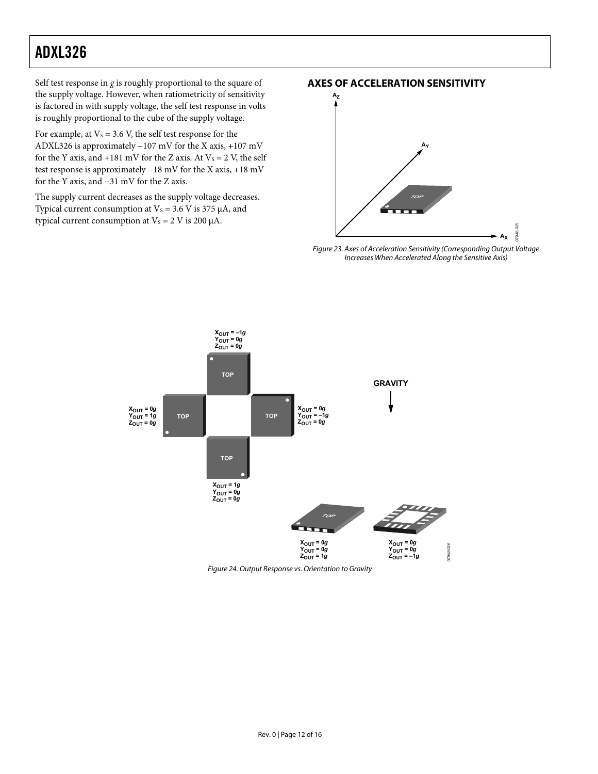<span id="page-11-0"></span>Self test response in *g* is roughly proportional to the square of the supply voltage. However, when ratiometricity of sensitivity is factored in with supply voltage, the self test response in volts is roughly proportional to the cube of the supply voltage.

For example, at  $V_s = 3.6$  V, the self test response for the ADXL326 is approximately −107 mV for the X axis, +107 mV for the Y axis, and  $+181$  mV for the Z axis. At  $V_s = 2$  V, the self test response is approximately −18 mV for the X axis, +18 mV for the Y axis, and −31 mV for the Z axis.

The supply current decreases as the supply voltage decreases. Typical current consumption at  $V_s = 3.6$  V is 375  $\mu$ A, and typical current consumption at  $V_s = 2$  V is 200  $\mu$ A.

#### **AXES OF ACCELERATION SENSITIVITY**



Figure 23. Axes of Acceleration Sensitivity (Corresponding Output Voltage Increases When Accelerated Along the Sensitive Axis)



Figure 24. Output Response vs. Orientation to Gravity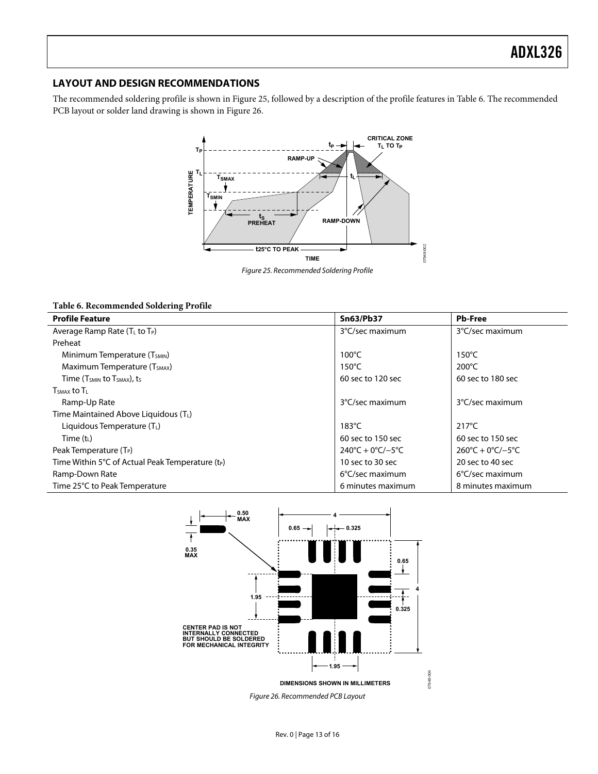#### <span id="page-12-0"></span>**LAYOUT AND DESIGN RECOMMENDATIONS**

The recommended soldering profile is shown in [Figure 25](#page-12-1), followed by a description of the profile features in [Table 6](#page-12-2). The recommended PCB layout or solder land drawing is shown in [Figure 26](#page-12-3).



Figure 25. Recommended Soldering Profile

#### <span id="page-12-1"></span>**Table 6. Recommended Soldering Profile**

<span id="page-12-2"></span>

| <b>Profile Feature</b>                                       | <b>Sn63/Pb37</b>                        | <b>Pb-Free</b>                          |  |
|--------------------------------------------------------------|-----------------------------------------|-----------------------------------------|--|
| Average Ramp Rate (TL to TP)                                 | 3°C/sec maximum                         | 3°C/sec maximum                         |  |
| Preheat                                                      |                                         |                                         |  |
| Minimum Temperature (T <sub>SMIN</sub> )                     | $100^{\circ}$ C                         | $150^{\circ}$ C                         |  |
| Maximum Temperature (T <sub>SMAX</sub> )                     | $150^{\circ}$ C                         | $200^{\circ}$ C                         |  |
| Time $(T_{SMIN}$ to $T_{SMAX}$ , ts                          | 60 sec to 120 sec                       | 60 sec to 180 sec                       |  |
| $TSMAX$ to $TL$                                              |                                         |                                         |  |
| Ramp-Up Rate                                                 | 3°C/sec maximum                         | 3°C/sec maximum                         |  |
| Time Maintained Above Liquidous (TL)                         |                                         |                                         |  |
| Liquidous Temperature $(T_1)$                                | 183 $^{\circ}$ C                        | $217^{\circ}$ C                         |  |
| Time $(t_L)$                                                 | 60 sec to 150 sec                       | 60 sec to 150 sec                       |  |
| Peak Temperature $(T_P)$                                     | $240^{\circ}C + 0^{\circ}C/-5^{\circ}C$ | $260^{\circ}C + 0^{\circ}C/-5^{\circ}C$ |  |
| Time Within 5°C of Actual Peak Temperature (t <sub>P</sub> ) | 10 sec to 30 sec                        | 20 sec to 40 sec                        |  |
| Ramp-Down Rate                                               | 6°C/sec maximum                         | $6^{\circ}$ C/sec maximum               |  |
| Time 25°C to Peak Temperature                                | 6 minutes maximum                       | 8 minutes maximum                       |  |



<span id="page-12-3"></span>Figure 26. Recommended PCB Layout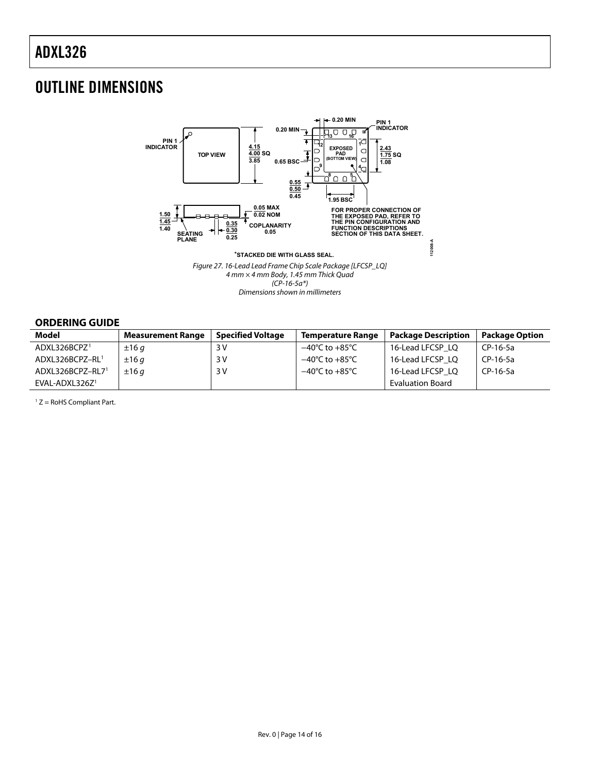### <span id="page-13-0"></span>OUTLINE DIMENSIONS



Dimensions shown in millimeters

#### **ORDERING GUIDE**

<span id="page-13-1"></span>

| Model                    | <b>Measurement Range</b> | <b>Specified Voltage</b> | Temperature Range                  | <b>Package Description</b> | <b>Package Option</b> |
|--------------------------|--------------------------|--------------------------|------------------------------------|----------------------------|-----------------------|
| ADXL326BCPZ <sup>1</sup> | ±16q                     | 3 V                      | $-40^{\circ}$ C to $+85^{\circ}$ C | 16-Lead LFCSP LO           | CP-16-5a              |
| ADXL326BCPZ-RL1          | ±16q                     | 3 V                      | $-40^{\circ}$ C to $+85^{\circ}$ C | 16-Lead LFCSP LO           | CP-16-5a              |
| ADXL326BCPZ-RL71         | ±16q                     | 3 V                      | $-40^{\circ}$ C to $+85^{\circ}$ C | 16-Lead LFCSP LO           | CP-16-5a              |
| $EVAL-ADXL326Z1$         |                          |                          |                                    | <b>Evaluation Board</b>    |                       |

 $1 Z =$  RoHS Compliant Part.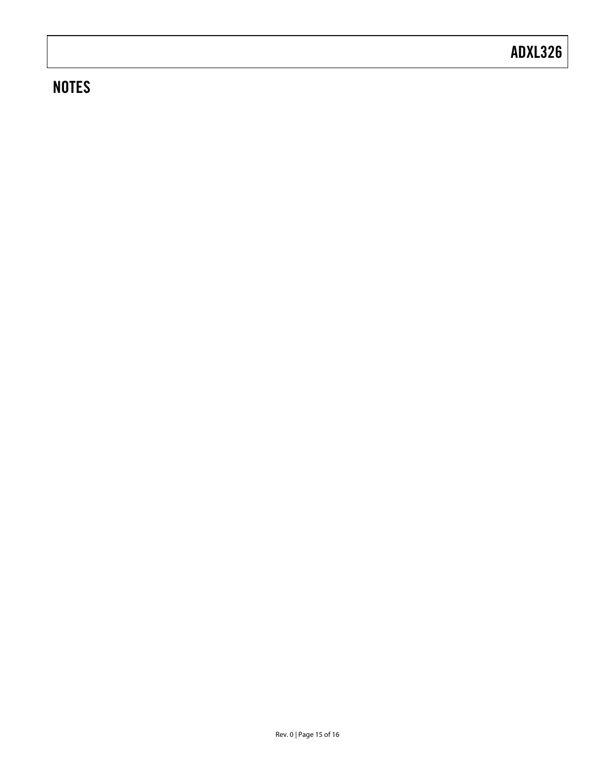### **NOTES**